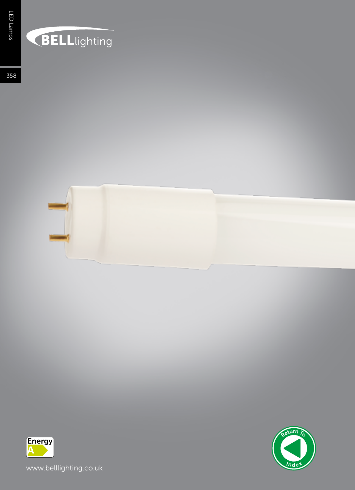## **BELL**lighting

358





www.belllighting.co.uk

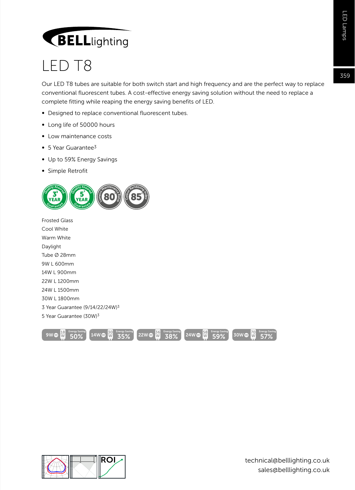## **BELL**lighting

## LED T8

Our LED T8 tubes are suitable for both switch start and high frequency and are the perfect way to replace conventional fluorescent tubes. A cost-effective energy saving solution without the need to replace a complete fitting while reaping the energy saving benefits of LED.

- Designed to replace conventional fluorescent tubes.
- ∞ Long life of 50000 hours
- ∞ Low maintenance costs
- ∞ 5 Year Guarantee3
- ∞ Up to 59% Energy Savings
- ∞ Simple Retrofit



Frosted Glass Cool White Warm White Daylight Tube Ø 28mm 9W L 600mm 14W L 900mm 22W L 1200mm 24W L 1500mm 30W L 1800mm 3 Year Guarantee (9/14/22/24W)3 5 Year Guarantee (30W)3





359